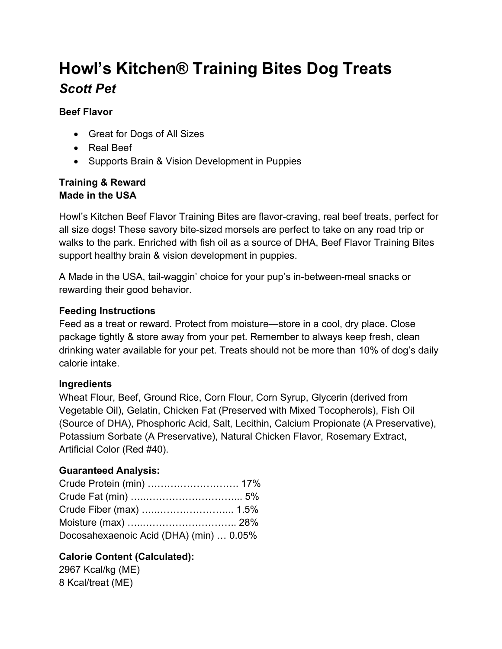# Howl's Kitchen® Training Bites Dog Treats Scott Pet

#### Beef Flavor

- Great for Dogs of All Sizes
- Real Beef
- Supports Brain & Vision Development in Puppies

#### Training & Reward Made in the USA

Howl's Kitchen Beef Flavor Training Bites are flavor-craving, real beef treats, perfect for all size dogs! These savory bite-sized morsels are perfect to take on any road trip or walks to the park. Enriched with fish oil as a source of DHA, Beef Flavor Training Bites support healthy brain & vision development in puppies.

A Made in the USA, tail-waggin' choice for your pup's in-between-meal snacks or rewarding their good behavior.

#### Feeding Instructions

Feed as a treat or reward. Protect from moisture—store in a cool, dry place. Close package tightly & store away from your pet. Remember to always keep fresh, clean drinking water available for your pet. Treats should not be more than 10% of dog's daily calorie intake.

#### Ingredients

Wheat Flour, Beef, Ground Rice, Corn Flour, Corn Syrup, Glycerin (derived from Vegetable Oil), Gelatin, Chicken Fat (Preserved with Mixed Tocopherols), Fish Oil (Source of DHA), Phosphoric Acid, Salt, Lecithin, Calcium Propionate (A Preservative), Potassium Sorbate (A Preservative), Natural Chicken Flavor, Rosemary Extract, Artificial Color (Red #40).

#### Guaranteed Analysis:

| Crude Protein (min)  17%                |  |
|-----------------------------------------|--|
|                                         |  |
|                                         |  |
|                                         |  |
| Docosahexaenoic Acid (DHA) (min)  0.05% |  |

### Calorie Content (Calculated):

2967 Kcal/kg (ME) 8 Kcal/treat (ME)